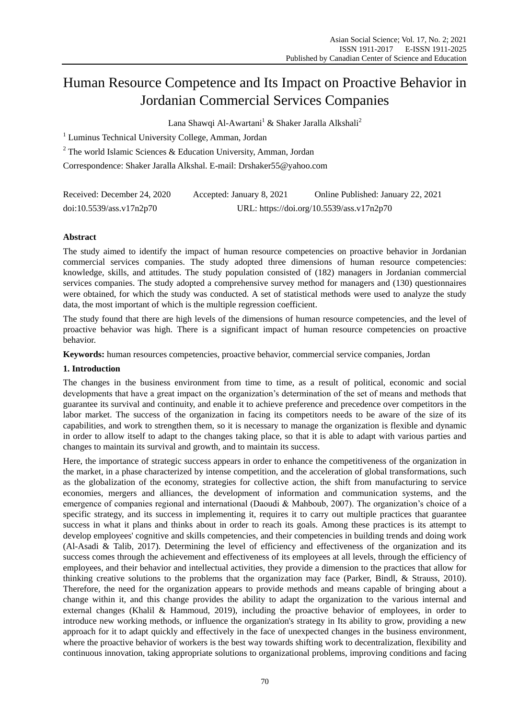# Human Resource Competence and Its Impact on Proactive Behavior in Jordanian Commercial Services Companies

Lana Shawqi Al-Awartani<sup>1</sup> & Shaker Jaralla Alkshali<sup>2</sup>

<sup>1</sup> Luminus Technical University College, Amman, Jordan

 $2$  The world Islamic Sciences & Education University, Amman, Jordan

Correspondence: Shaker Jaralla Alkshal. E-mail: [Drshaker55@yahoo.com](mailto:Drshaker55@yahoo.com)

| Received: December 24, 2020 | Accepted: January 8, 2021 | Online Published: January 22, 2021        |
|-----------------------------|---------------------------|-------------------------------------------|
| doi:10.5539/ass.v17n2p70    |                           | URL: https://doi.org/10.5539/ass.v17n2p70 |

# **Abstract**

The study aimed to identify the impact of human resource competencies on proactive behavior in Jordanian commercial services companies. The study adopted three dimensions of human resource competencies: knowledge, skills, and attitudes. The study population consisted of (182) managers in Jordanian commercial services companies. The study adopted a comprehensive survey method for managers and (130) questionnaires were obtained, for which the study was conducted. A set of statistical methods were used to analyze the study data, the most important of which is the multiple regression coefficient.

The study found that there are high levels of the dimensions of human resource competencies, and the level of proactive behavior was high. There is a significant impact of human resource competencies on proactive behavior.

**Keywords:** human resources competencies, proactive behavior, commercial service companies, Jordan

# **1. Introduction**

The changes in the business environment from time to time, as a result of political, economic and social developments that have a great impact on the organization's determination of the set of means and methods that guarantee its survival and continuity, and enable it to achieve preference and precedence over competitors in the labor market. The success of the organization in facing its competitors needs to be aware of the size of its capabilities, and work to strengthen them, so it is necessary to manage the organization is flexible and dynamic in order to allow itself to adapt to the changes taking place, so that it is able to adapt with various parties and changes to maintain its survival and growth, and to maintain its success.

Here, the importance of strategic success appears in order to enhance the competitiveness of the organization in the market, in a phase characterized by intense competition, and the acceleration of global transformations, such as the globalization of the economy, strategies for collective action, the shift from manufacturing to service economies, mergers and alliances, the development of information and communication systems, and the emergence of companies regional and international (Daoudi & Mahboub, 2007). The organization's choice of a specific strategy, and its success in implementing it, requires it to carry out multiple practices that guarantee success in what it plans and thinks about in order to reach its goals. Among these practices is its attempt to develop employees' cognitive and skills competencies, and their competencies in building trends and doing work (Al-Asadi & Talib, 2017). Determining the level of efficiency and effectiveness of the organization and its success comes through the achievement and effectiveness of its employees at all levels, through the efficiency of employees, and their behavior and intellectual activities, they provide a dimension to the practices that allow for thinking creative solutions to the problems that the organization may face (Parker, Bindl, & Strauss, 2010). Therefore, the need for the organization appears to provide methods and means capable of bringing about a change within it, and this change provides the ability to adapt the organization to the various internal and external changes (Khalil & Hammoud, 2019), including the proactive behavior of employees, in order to introduce new working methods, or influence the organization's strategy in Its ability to grow, providing a new approach for it to adapt quickly and effectively in the face of unexpected changes in the business environment, where the proactive behavior of workers is the best way towards shifting work to decentralization, flexibility and continuous innovation, taking appropriate solutions to organizational problems, improving conditions and facing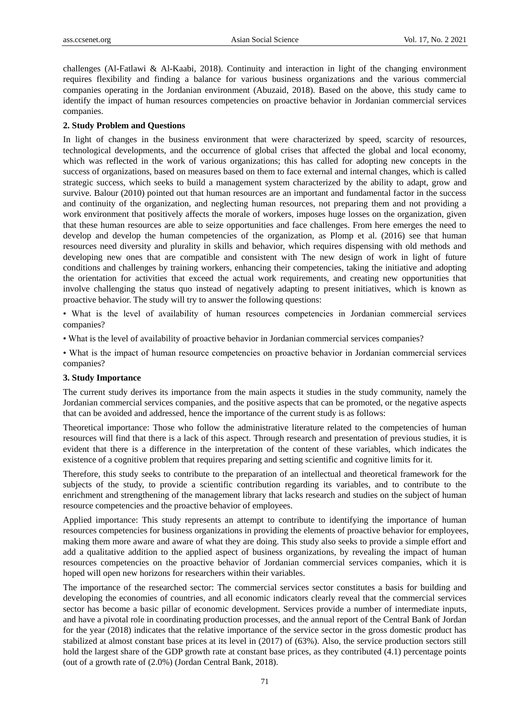challenges (Al-Fatlawi & Al-Kaabi, 2018). Continuity and interaction in light of the changing environment requires flexibility and finding a balance for various business organizations and the various commercial companies operating in the Jordanian environment (Abuzaid, 2018). Based on the above, this study came to identify the impact of human resources competencies on proactive behavior in Jordanian commercial services companies.

#### **2. Study Problem and Questions**

In light of changes in the business environment that were characterized by speed, scarcity of resources, technological developments, and the occurrence of global crises that affected the global and local economy, which was reflected in the work of various organizations; this has called for adopting new concepts in the success of organizations, based on measures based on them to face external and internal changes, which is called strategic success, which seeks to build a management system characterized by the ability to adapt, grow and survive. Balour (2010) pointed out that human resources are an important and fundamental factor in the success and continuity of the organization, and neglecting human resources, not preparing them and not providing a work environment that positively affects the morale of workers, imposes huge losses on the organization, given that these human resources are able to seize opportunities and face challenges. From here emerges the need to develop and develop the human competencies of the organization, as Plomp et al. (2016) see that human resources need diversity and plurality in skills and behavior, which requires dispensing with old methods and developing new ones that are compatible and consistent with The new design of work in light of future conditions and challenges by training workers, enhancing their competencies, taking the initiative and adopting the orientation for activities that exceed the actual work requirements, and creating new opportunities that involve challenging the status quo instead of negatively adapting to present initiatives, which is known as proactive behavior. The study will try to answer the following questions:

• What is the level of availability of human resources competencies in Jordanian commercial services companies?

• What is the level of availability of proactive behavior in Jordanian commercial services companies?

• What is the impact of human resource competencies on proactive behavior in Jordanian commercial services companies?

#### **3. Study Importance**

The current study derives its importance from the main aspects it studies in the study community, namely the Jordanian commercial services companies, and the positive aspects that can be promoted, or the negative aspects that can be avoided and addressed, hence the importance of the current study is as follows:

Theoretical importance: Those who follow the administrative literature related to the competencies of human resources will find that there is a lack of this aspect. Through research and presentation of previous studies, it is evident that there is a difference in the interpretation of the content of these variables, which indicates the existence of a cognitive problem that requires preparing and setting scientific and cognitive limits for it.

Therefore, this study seeks to contribute to the preparation of an intellectual and theoretical framework for the subjects of the study, to provide a scientific contribution regarding its variables, and to contribute to the enrichment and strengthening of the management library that lacks research and studies on the subject of human resource competencies and the proactive behavior of employees.

Applied importance: This study represents an attempt to contribute to identifying the importance of human resources competencies for business organizations in providing the elements of proactive behavior for employees, making them more aware and aware of what they are doing. This study also seeks to provide a simple effort and add a qualitative addition to the applied aspect of business organizations, by revealing the impact of human resources competencies on the proactive behavior of Jordanian commercial services companies, which it is hoped will open new horizons for researchers within their variables.

The importance of the researched sector: The commercial services sector constitutes a basis for building and developing the economies of countries, and all economic indicators clearly reveal that the commercial services sector has become a basic pillar of economic development. Services provide a number of intermediate inputs, and have a pivotal role in coordinating production processes, and the annual report of the Central Bank of Jordan for the year (2018) indicates that the relative importance of the service sector in the gross domestic product has stabilized at almost constant base prices at its level in (2017) of (63%). Also, the service production sectors still hold the largest share of the GDP growth rate at constant base prices, as they contributed (4.1) percentage points (out of a growth rate of (2.0%) (Jordan Central Bank, 2018).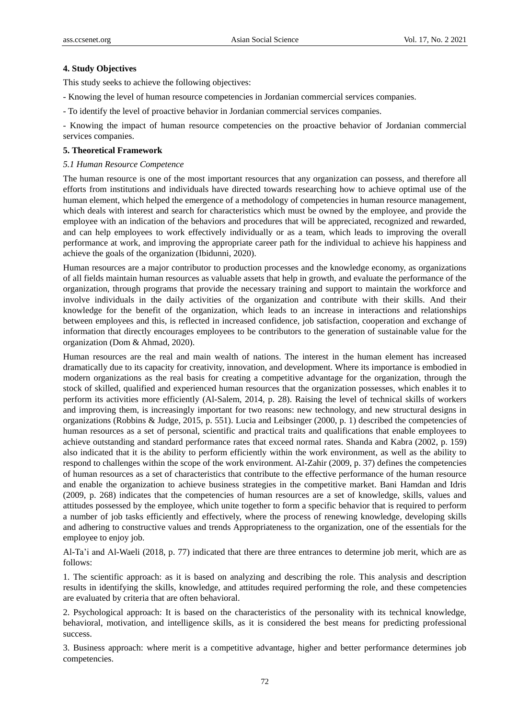## **4. Study Objectives**

This study seeks to achieve the following objectives:

- Knowing the level of human resource competencies in Jordanian commercial services companies.
- To identify the level of proactive behavior in Jordanian commercial services companies.

- Knowing the impact of human resource competencies on the proactive behavior of Jordanian commercial services companies.

## **5. Theoretical Framework**

## *5.1 Human Resource Competence*

The human resource is one of the most important resources that any organization can possess, and therefore all efforts from institutions and individuals have directed towards researching how to achieve optimal use of the human element, which helped the emergence of a methodology of competencies in human resource management, which deals with interest and search for characteristics which must be owned by the employee, and provide the employee with an indication of the behaviors and procedures that will be appreciated, recognized and rewarded, and can help employees to work effectively individually or as a team, which leads to improving the overall performance at work, and improving the appropriate career path for the individual to achieve his happiness and achieve the goals of the organization (Ibidunni, 2020).

Human resources are a major contributor to production processes and the knowledge economy, as organizations of all fields maintain human resources as valuable assets that help in growth, and evaluate the performance of the organization, through programs that provide the necessary training and support to maintain the workforce and involve individuals in the daily activities of the organization and contribute with their skills. And their knowledge for the benefit of the organization, which leads to an increase in interactions and relationships between employees and this, is reflected in increased confidence, job satisfaction, cooperation and exchange of information that directly encourages employees to be contributors to the generation of sustainable value for the organization (Dom & Ahmad, 2020).

Human resources are the real and main wealth of nations. The interest in the human element has increased dramatically due to its capacity for creativity, innovation, and development. Where its importance is embodied in modern organizations as the real basis for creating a competitive advantage for the organization, through the stock of skilled, qualified and experienced human resources that the organization possesses, which enables it to perform its activities more efficiently (Al-Salem, 2014, p. 28). Raising the level of technical skills of workers and improving them, is increasingly important for two reasons: new technology, and new structural designs in organizations (Robbins & Judge, 2015, p. 551). Lucia and Leibsinger (2000, p. 1) described the competencies of human resources as a set of personal, scientific and practical traits and qualifications that enable employees to achieve outstanding and standard performance rates that exceed normal rates. Shanda and Kabra (2002, p. 159) also indicated that it is the ability to perform efficiently within the work environment, as well as the ability to respond to challenges within the scope of the work environment. Al-Zahir (2009, p. 37) defines the competencies of human resources as a set of characteristics that contribute to the effective performance of the human resource and enable the organization to achieve business strategies in the competitive market. Bani Hamdan and Idris (2009, p. 268) indicates that the competencies of human resources are a set of knowledge, skills, values and attitudes possessed by the employee, which unite together to form a specific behavior that is required to perform a number of job tasks efficiently and effectively, where the process of renewing knowledge, developing skills and adhering to constructive values and trends Appropriateness to the organization, one of the essentials for the employee to enjoy job.

Al-Ta'i and Al-Waeli (2018, p. 77) indicated that there are three entrances to determine job merit, which are as follows:

1. The scientific approach: as it is based on analyzing and describing the role. This analysis and description results in identifying the skills, knowledge, and attitudes required performing the role, and these competencies are evaluated by criteria that are often behavioral.

2. Psychological approach: It is based on the characteristics of the personality with its technical knowledge, behavioral, motivation, and intelligence skills, as it is considered the best means for predicting professional success.

3. Business approach: where merit is a competitive advantage, higher and better performance determines job competencies.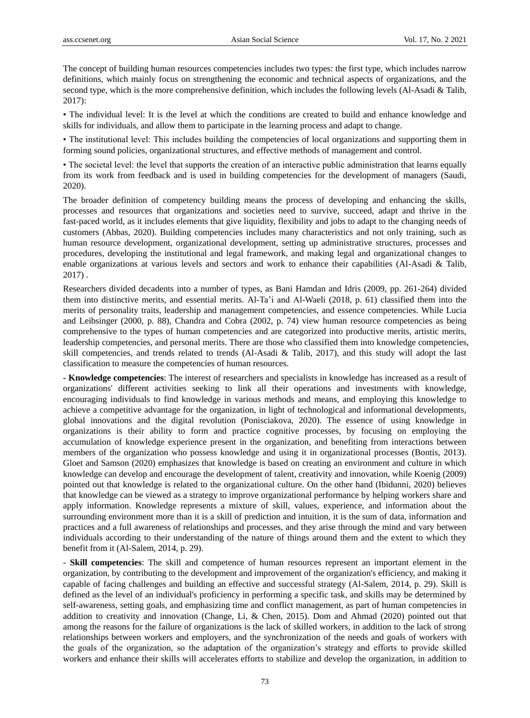The concept of building human resources competencies includes two types: the first type, which includes narrow definitions, which mainly focus on strengthening the economic and technical aspects of organizations, and the second type, which is the more comprehensive definition, which includes the following levels (Al-Asadi & Talib, 2017):

• The individual level: It is the level at which the conditions are created to build and enhance knowledge and skills for individuals, and allow them to participate in the learning process and adapt to change.

• The institutional level: This includes building the competencies of local organizations and supporting them in forming sound policies, organizational structures, and effective methods of management and control.

• The societal level: the level that supports the creation of an interactive public administration that learns equally from its work from feedback and is used in building competencies for the development of managers (Saudi, 2020).

The broader definition of competency building means the process of developing and enhancing the skills, processes and resources that organizations and societies need to survive, succeed, adapt and thrive in the fast-paced world, as it includes elements that give liquidity, flexibility and jobs to adapt to the changing needs of customers (Abbas, 2020). Building competencies includes many characteristics and not only training, such as human resource development, organizational development, setting up administrative structures, processes and procedures, developing the institutional and legal framework, and making legal and organizational changes to enable organizations at various levels and sectors and work to enhance their capabilities (Al-Asadi & Talib, 2017) .

Researchers divided decadents into a number of types, as Bani Hamdan and Idris (2009, pp. 261-264) divided them into distinctive merits, and essential merits. Al-Ta'i and Al-Waeli (2018, p. 61) classified them into the merits of personality traits, leadership and management competencies, and essence competencies. While Lucia and Leibsinger (2000, p. 88), Chandra and Cobra (2002, p. 74) view human resource competencies as being comprehensive to the types of human competencies and are categorized into productive merits, artistic merits, leadership competencies, and personal merits. There are those who classified them into knowledge competencies, skill competencies, and trends related to trends (Al-Asadi & Talib, 2017), and this study will adopt the last classification to measure the competencies of human resources.

**- Knowledge competencies**: The interest of researchers and specialists in knowledge has increased as a result of organizations' different activities seeking to link all their operations and investments with knowledge, encouraging individuals to find knowledge in various methods and means, and employing this knowledge to achieve a competitive advantage for the organization, in light of technological and informational developments, global innovations and the digital revolution (Ponisciakova, 2020). The essence of using knowledge in organizations is their ability to form and practice cognitive processes, by focusing on employing the accumulation of knowledge experience present in the organization, and benefiting from interactions between members of the organization who possess knowledge and using it in organizational processes (Bontis, 2013). Gloet and Samson (2020) emphasizes that knowledge is based on creating an environment and culture in which knowledge can develop and encourage the development of talent, creativity and innovation, while Koenig (2009) pointed out that knowledge is related to the organizational culture. On the other hand (Ibidunni, 2020) believes that knowledge can be viewed as a strategy to improve organizational performance by helping workers share and apply information. Knowledge represents a mixture of skill, values, experience, and information about the surrounding environment more than it is a skill of prediction and intuition, it is the sum of data, information and practices and a full awareness of relationships and processes, and they arise through the mind and vary between individuals according to their understanding of the nature of things around them and the extent to which they benefit from it (Al-Salem, 2014, p. 29).

- **Skill competencies**: The skill and competence of human resources represent an important element in the organization, by contributing to the development and improvement of the organization's efficiency, and making it capable of facing challenges and building an effective and successful strategy (Al-Salem, 2014, p. 29). Skill is defined as the level of an individual's proficiency in performing a specific task, and skills may be determined by self-awareness, setting goals, and emphasizing time and conflict management, as part of human competencies in addition to creativity and innovation (Change, Li, & Chen, 2015). Dom and Ahmad (2020) pointed out that among the reasons for the failure of organizations is the lack of skilled workers, in addition to the lack of strong relationships between workers and employers, and the synchronization of the needs and goals of workers with the goals of the organization, so the adaptation of the organization's strategy and efforts to provide skilled workers and enhance their skills will accelerates efforts to stabilize and develop the organization, in addition to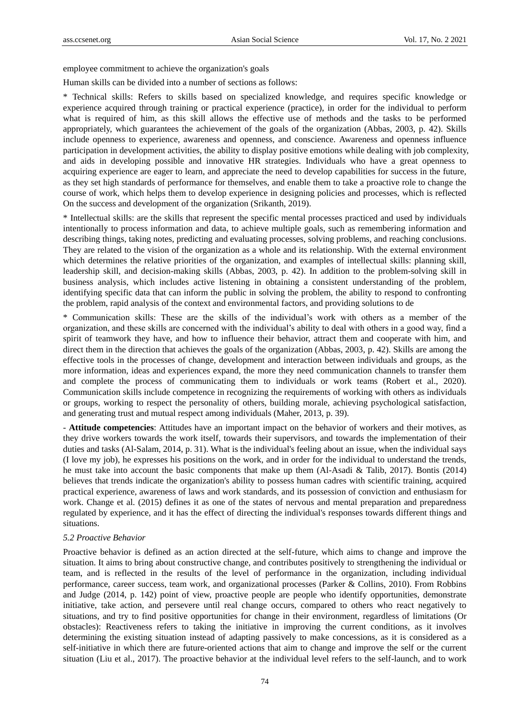employee commitment to achieve the organization's goals

Human skills can be divided into a number of sections as follows:

\* Technical skills: Refers to skills based on specialized knowledge, and requires specific knowledge or experience acquired through training or practical experience (practice), in order for the individual to perform what is required of him, as this skill allows the effective use of methods and the tasks to be performed appropriately, which guarantees the achievement of the goals of the organization (Abbas, 2003, p. 42). Skills include openness to experience, awareness and openness, and conscience. Awareness and openness influence participation in development activities, the ability to display positive emotions while dealing with job complexity, and aids in developing possible and innovative HR strategies. Individuals who have a great openness to acquiring experience are eager to learn, and appreciate the need to develop capabilities for success in the future, as they set high standards of performance for themselves, and enable them to take a proactive role to change the course of work, which helps them to develop experience in designing policies and processes, which is reflected On the success and development of the organization (Srikanth, 2019).

\* Intellectual skills: are the skills that represent the specific mental processes practiced and used by individuals intentionally to process information and data, to achieve multiple goals, such as remembering information and describing things, taking notes, predicting and evaluating processes, solving problems, and reaching conclusions. They are related to the vision of the organization as a whole and its relationship. With the external environment which determines the relative priorities of the organization, and examples of intellectual skills: planning skill, leadership skill, and decision-making skills (Abbas, 2003, p. 42). In addition to the problem-solving skill in business analysis, which includes active listening in obtaining a consistent understanding of the problem, identifying specific data that can inform the public in solving the problem, the ability to respond to confronting the problem, rapid analysis of the context and environmental factors, and providing solutions to de

\* Communication skills: These are the skills of the individual's work with others as a member of the organization, and these skills are concerned with the individual's ability to deal with others in a good way, find a spirit of teamwork they have, and how to influence their behavior, attract them and cooperate with him, and direct them in the direction that achieves the goals of the organization (Abbas, 2003, p. 42). Skills are among the effective tools in the processes of change, development and interaction between individuals and groups, as the more information, ideas and experiences expand, the more they need communication channels to transfer them and complete the process of communicating them to individuals or work teams (Robert et al., 2020). Communication skills include competence in recognizing the requirements of working with others as individuals or groups, working to respect the personality of others, building morale, achieving psychological satisfaction, and generating trust and mutual respect among individuals (Maher, 2013, p. 39).

- **Attitude competencies**: Attitudes have an important impact on the behavior of workers and their motives, as they drive workers towards the work itself, towards their supervisors, and towards the implementation of their duties and tasks (Al-Salam, 2014, p. 31). What is the individual's feeling about an issue, when the individual says (I love my job), he expresses his positions on the work, and in order for the individual to understand the trends, he must take into account the basic components that make up them (Al-Asadi & Talib, 2017). Bontis (2014) believes that trends indicate the organization's ability to possess human cadres with scientific training, acquired practical experience, awareness of laws and work standards, and its possession of conviction and enthusiasm for work. Change et al. (2015) defines it as one of the states of nervous and mental preparation and preparedness regulated by experience, and it has the effect of directing the individual's responses towards different things and situations.

#### *5.2 Proactive Behavior*

Proactive behavior is defined as an action directed at the self-future, which aims to change and improve the situation. It aims to bring about constructive change, and contributes positively to strengthening the individual or team, and is reflected in the results of the level of performance in the organization, including individual performance, career success, team work, and organizational processes (Parker & Collins, 2010). From Robbins and Judge (2014, p. 142) point of view, proactive people are people who identify opportunities, demonstrate initiative, take action, and persevere until real change occurs, compared to others who react negatively to situations, and try to find positive opportunities for change in their environment, regardless of limitations (Or obstacles): Reactiveness refers to taking the initiative in improving the current conditions, as it involves determining the existing situation instead of adapting passively to make concessions, as it is considered as a self-initiative in which there are future-oriented actions that aim to change and improve the self or the current situation (Liu et al., 2017). The proactive behavior at the individual level refers to the self-launch, and to work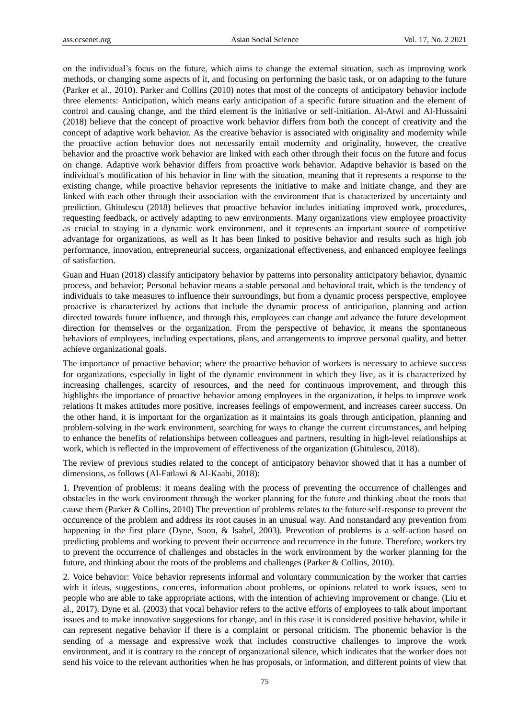on the individual's focus on the future, which aims to change the external situation, such as improving work methods, or changing some aspects of it, and focusing on performing the basic task, or on adapting to the future (Parker et al., 2010). Parker and Collins (2010) notes that most of the concepts of anticipatory behavior include three elements: Anticipation, which means early anticipation of a specific future situation and the element of control and causing change, and the third element is the initiative or self-initiation. Al-Atwi and Al-Hussaini (2018) believe that the concept of proactive work behavior differs from both the concept of creativity and the concept of adaptive work behavior. As the creative behavior is associated with originality and modernity while the proactive action behavior does not necessarily entail modernity and originality, however, the creative behavior and the proactive work behavior are linked with each other through their focus on the future and focus on change. Adaptive work behavior differs from proactive work behavior. Adaptive behavior is based on the individual's modification of his behavior in line with the situation, meaning that it represents a response to the existing change, while proactive behavior represents the initiative to make and initiate change, and they are linked with each other through their association with the environment that is characterized by uncertainty and prediction. Ghitulescu (2018) believes that proactive behavior includes initiating improved work, procedures, requesting feedback, or actively adapting to new environments. Many organizations view employee proactivity as crucial to staying in a dynamic work environment, and it represents an important source of competitive advantage for organizations, as well as It has been linked to positive behavior and results such as high job performance, innovation, entrepreneurial success, organizational effectiveness, and enhanced employee feelings of satisfaction.

Guan and Huan (2018) classify anticipatory behavior by patterns into personality anticipatory behavior, dynamic process, and behavior; Personal behavior means a stable personal and behavioral trait, which is the tendency of individuals to take measures to influence their surroundings, but from a dynamic process perspective, employee proactive is characterized by actions that include the dynamic process of anticipation, planning and action directed towards future influence, and through this, employees can change and advance the future development direction for themselves or the organization. From the perspective of behavior, it means the spontaneous behaviors of employees, including expectations, plans, and arrangements to improve personal quality, and better achieve organizational goals.

The importance of proactive behavior; where the proactive behavior of workers is necessary to achieve success for organizations, especially in light of the dynamic environment in which they live, as it is characterized by increasing challenges, scarcity of resources, and the need for continuous improvement, and through this highlights the importance of proactive behavior among employees in the organization, it helps to improve work relations It makes attitudes more positive, increases feelings of empowerment, and increases career success. On the other hand, it is important for the organization as it maintains its goals through anticipation, planning and problem-solving in the work environment, searching for ways to change the current circumstances, and helping to enhance the benefits of relationships between colleagues and partners, resulting in high-level relationships at work, which is reflected in the improvement of effectiveness of the organization (Ghitulescu, 2018).

The review of previous studies related to the concept of anticipatory behavior showed that it has a number of dimensions, as follows (Al-Fatlawi & Al-Kaabi, 2018):

1. Prevention of problems: it means dealing with the process of preventing the occurrence of challenges and obstacles in the work environment through the worker planning for the future and thinking about the roots that cause them (Parker & Collins, 2010) The prevention of problems relates to the future self-response to prevent the occurrence of the problem and address its root causes in an unusual way. And nonstandard any prevention from happening in the first place (Dyne, Soon, & Isabel, 2003). Prevention of problems is a self-action based on predicting problems and working to prevent their occurrence and recurrence in the future. Therefore, workers try to prevent the occurrence of challenges and obstacles in the work environment by the worker planning for the future, and thinking about the roots of the problems and challenges (Parker & Collins, 2010).

2. Voice behavior: Voice behavior represents informal and voluntary communication by the worker that carries with it ideas, suggestions, concerns, information about problems, or opinions related to work issues, sent to people who are able to take appropriate actions, with the intention of achieving improvement or change. (Liu et al., 2017). Dyne et al. (2003) that vocal behavior refers to the active efforts of employees to talk about important issues and to make innovative suggestions for change, and in this case it is considered positive behavior, while it can represent negative behavior if there is a complaint or personal criticism. The phonemic behavior is the sending of a message and expressive work that includes constructive challenges to improve the work environment, and it is contrary to the concept of organizational silence, which indicates that the worker does not send his voice to the relevant authorities when he has proposals, or information, and different points of view that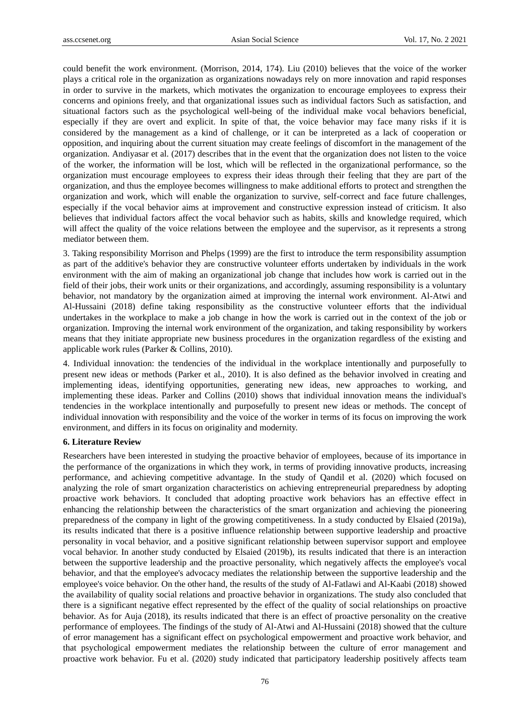could benefit the work environment. (Morrison, 2014, 174). Liu (2010) believes that the voice of the worker plays a critical role in the organization as organizations nowadays rely on more innovation and rapid responses in order to survive in the markets, which motivates the organization to encourage employees to express their concerns and opinions freely, and that organizational issues such as individual factors Such as satisfaction, and situational factors such as the psychological well-being of the individual make vocal behaviors beneficial, especially if they are overt and explicit. In spite of that, the voice behavior may face many risks if it is considered by the management as a kind of challenge, or it can be interpreted as a lack of cooperation or opposition, and inquiring about the current situation may create feelings of discomfort in the management of the organization. Andiyasar et al. (2017) describes that in the event that the organization does not listen to the voice of the worker, the information will be lost, which will be reflected in the organizational performance, so the organization must encourage employees to express their ideas through their feeling that they are part of the organization, and thus the employee becomes willingness to make additional efforts to protect and strengthen the organization and work, which will enable the organization to survive, self-correct and face future challenges, especially if the vocal behavior aims at improvement and constructive expression instead of criticism. It also believes that individual factors affect the vocal behavior such as habits, skills and knowledge required, which will affect the quality of the voice relations between the employee and the supervisor, as it represents a strong mediator between them.

3. Taking responsibility Morrison and Phelps (1999) are the first to introduce the term responsibility assumption as part of the additive's behavior they are constructive volunteer efforts undertaken by individuals in the work environment with the aim of making an organizational job change that includes how work is carried out in the field of their jobs, their work units or their organizations, and accordingly, assuming responsibility is a voluntary behavior, not mandatory by the organization aimed at improving the internal work environment. Al-Atwi and Al-Hussaini (2018) define taking responsibility as the constructive volunteer efforts that the individual undertakes in the workplace to make a job change in how the work is carried out in the context of the job or organization. Improving the internal work environment of the organization, and taking responsibility by workers means that they initiate appropriate new business procedures in the organization regardless of the existing and applicable work rules (Parker & Collins, 2010).

4. Individual innovation: the tendencies of the individual in the workplace intentionally and purposefully to present new ideas or methods (Parker et al., 2010). It is also defined as the behavior involved in creating and implementing ideas, identifying opportunities, generating new ideas, new approaches to working, and implementing these ideas. Parker and Collins (2010) shows that individual innovation means the individual's tendencies in the workplace intentionally and purposefully to present new ideas or methods. The concept of individual innovation with responsibility and the voice of the worker in terms of its focus on improving the work environment, and differs in its focus on originality and modernity.

#### **6. Literature Review**

Researchers have been interested in studying the proactive behavior of employees, because of its importance in the performance of the organizations in which they work, in terms of providing innovative products, increasing performance, and achieving competitive advantage. In the study of Qandil et al. (2020) which focused on analyzing the role of smart organization characteristics on achieving entrepreneurial preparedness by adopting proactive work behaviors. It concluded that adopting proactive work behaviors has an effective effect in enhancing the relationship between the characteristics of the smart organization and achieving the pioneering preparedness of the company in light of the growing competitiveness. In a study conducted by Elsaied (2019a), its results indicated that there is a positive influence relationship between supportive leadership and proactive personality in vocal behavior, and a positive significant relationship between supervisor support and employee vocal behavior. In another study conducted by Elsaied (2019b), its results indicated that there is an interaction between the supportive leadership and the proactive personality, which negatively affects the employee's vocal behavior, and that the employee's advocacy mediates the relationship between the supportive leadership and the employee's voice behavior. On the other hand, the results of the study of Al-Fatlawi and Al-Kaabi (2018) showed the availability of quality social relations and proactive behavior in organizations. The study also concluded that there is a significant negative effect represented by the effect of the quality of social relationships on proactive behavior. As for Auja (2018), its results indicated that there is an effect of proactive personality on the creative performance of employees. The findings of the study of Al-Atwi and Al-Hussaini (2018) showed that the culture of error management has a significant effect on psychological empowerment and proactive work behavior, and that psychological empowerment mediates the relationship between the culture of error management and proactive work behavior. Fu et al. (2020) study indicated that participatory leadership positively affects team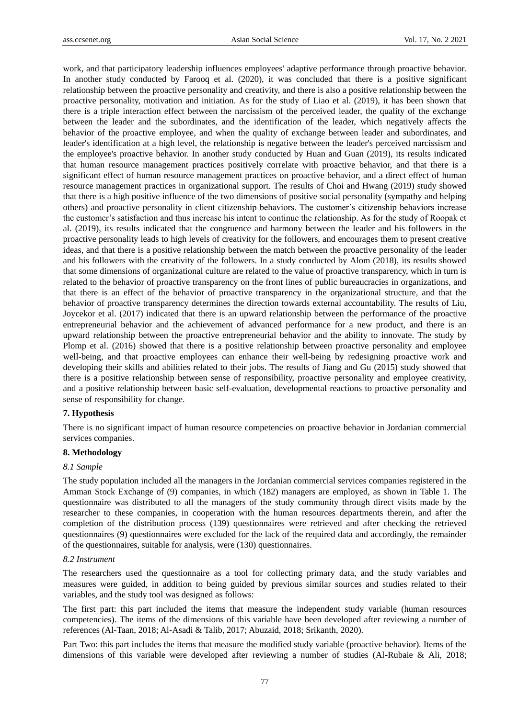work, and that participatory leadership influences employees' adaptive performance through proactive behavior. In another study conducted by Farooq et al. (2020), it was concluded that there is a positive significant relationship between the proactive personality and creativity, and there is also a positive relationship between the proactive personality, motivation and initiation. As for the study of Liao et al. (2019), it has been shown that there is a triple interaction effect between the narcissism of the perceived leader, the quality of the exchange between the leader and the subordinates, and the identification of the leader, which negatively affects the behavior of the proactive employee, and when the quality of exchange between leader and subordinates, and leader's identification at a high level, the relationship is negative between the leader's perceived narcissism and the employee's proactive behavior. In another study conducted by Huan and Guan (2019), its results indicated that human resource management practices positively correlate with proactive behavior, and that there is a significant effect of human resource management practices on proactive behavior, and a direct effect of human resource management practices in organizational support. The results of Choi and Hwang (2019) study showed that there is a high positive influence of the two dimensions of positive social personality (sympathy and helping others) and proactive personality in client citizenship behaviors. The customer's citizenship behaviors increase the customer's satisfaction and thus increase his intent to continue the relationship. As for the study of Roopak et al. (2019), its results indicated that the congruence and harmony between the leader and his followers in the proactive personality leads to high levels of creativity for the followers, and encourages them to present creative ideas, and that there is a positive relationship between the match between the proactive personality of the leader and his followers with the creativity of the followers. In a study conducted by Alom (2018), its results showed that some dimensions of organizational culture are related to the value of proactive transparency, which in turn is related to the behavior of proactive transparency on the front lines of public bureaucracies in organizations, and that there is an effect of the behavior of proactive transparency in the organizational structure, and that the behavior of proactive transparency determines the direction towards external accountability. The results of Liu, Joycekor et al. (2017) indicated that there is an upward relationship between the performance of the proactive entrepreneurial behavior and the achievement of advanced performance for a new product, and there is an upward relationship between the proactive entrepreneurial behavior and the ability to innovate. The study by Plomp et al. (2016) showed that there is a positive relationship between proactive personality and employee well-being, and that proactive employees can enhance their well-being by redesigning proactive work and developing their skills and abilities related to their jobs. The results of Jiang and Gu (2015) study showed that there is a positive relationship between sense of responsibility, proactive personality and employee creativity, and a positive relationship between basic self-evaluation, developmental reactions to proactive personality and sense of responsibility for change.

#### **7. Hypothesis**

There is no significant impact of human resource competencies on proactive behavior in Jordanian commercial services companies.

## **8. Methodology**

#### *8.1 Sample*

The study population included all the managers in the Jordanian commercial services companies registered in the Amman Stock Exchange of (9) companies, in which (182) managers are employed, as shown in Table 1. The questionnaire was distributed to all the managers of the study community through direct visits made by the researcher to these companies, in cooperation with the human resources departments therein, and after the completion of the distribution process (139) questionnaires were retrieved and after checking the retrieved questionnaires (9) questionnaires were excluded for the lack of the required data and accordingly, the remainder of the questionnaires, suitable for analysis, were (130) questionnaires.

#### *8.2 Instrument*

The researchers used the questionnaire as a tool for collecting primary data, and the study variables and measures were guided, in addition to being guided by previous similar sources and studies related to their variables, and the study tool was designed as follows:

The first part: this part included the items that measure the independent study variable (human resources competencies). The items of the dimensions of this variable have been developed after reviewing a number of references (Al-Taan, 2018; Al-Asadi & Talib, 2017; Abuzaid, 2018; Srikanth, 2020).

Part Two: this part includes the items that measure the modified study variable (proactive behavior). Items of the dimensions of this variable were developed after reviewing a number of studies (Al-Rubaie & Ali, 2018;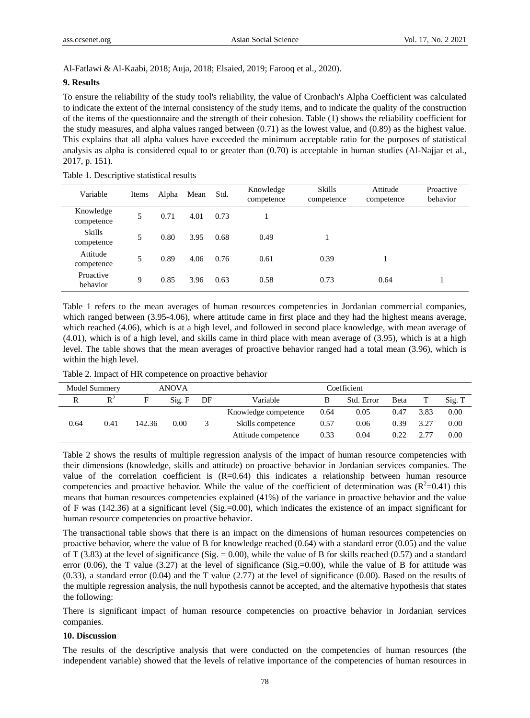Al-Fatlawi & Al-Kaabi, 2018; Auja, 2018; Elsaied, 2019; Farooq et al., 2020).

#### **9. Results**

To ensure the reliability of the study tool's reliability, the value of Cronbach's Alpha Coefficient was calculated to indicate the extent of the internal consistency of the study items, and to indicate the quality of the construction of the items of the questionnaire and the strength of their cohesion. Table (1) shows the reliability coefficient for the study measures, and alpha values ranged between (0.71) as the lowest value, and (0.89) as the highest value. This explains that all alpha values have exceeded the minimum acceptable ratio for the purposes of statistical analysis as alpha is considered equal to or greater than (0.70) is acceptable in human studies (Al-Najjar et al., 2017, p. 151).

| Variable                    | Items | Alpha | Mean | Std. | Knowledge<br>competence | <b>Skills</b><br>competence | Attitude<br>competence | Proactive<br>behavior |
|-----------------------------|-------|-------|------|------|-------------------------|-----------------------------|------------------------|-----------------------|
| Knowledge<br>competence     | 5     | 0.71  | 4.01 | 0.73 |                         |                             |                        |                       |
| <b>Skills</b><br>competence | 5     | 0.80  | 3.95 | 0.68 | 0.49                    |                             |                        |                       |
| Attitude<br>competence      | 5     | 0.89  | 4.06 | 0.76 | 0.61                    | 0.39                        |                        |                       |
| Proactive<br>behavior       | 9     | 0.85  | 3.96 | 0.63 | 0.58                    | 0.73                        | 0.64                   |                       |

Table 1. Descriptive statistical results

Table 1 refers to the mean averages of human resources competencies in Jordanian commercial companies, which ranged between (3.95-4.06), where attitude came in first place and they had the highest means average, which reached (4.06), which is at a high level, and followed in second place knowledge, with mean average of (4.01), which is of a high level, and skills came in third place with mean average of (3.95), which is at a high level. The table shows that the mean averages of proactive behavior ranged had a total mean (3.96), which is within the high level.

| Table 2. Impact of HR competence on proactive behavior |               |  |          |    |          |  |             |  |
|--------------------------------------------------------|---------------|--|----------|----|----------|--|-------------|--|
|                                                        | Model Summery |  | ANOVA    |    |          |  | Coefficient |  |
|                                                        |               |  | $S$ io F | DE | Variable |  | Std Er      |  |

| Model Summery |                | ANOVA  |        |    | Coefficient          |      |            |      |      |        |
|---------------|----------------|--------|--------|----|----------------------|------|------------|------|------|--------|
| R             | $\mathbf{R}^2$ | Е      | Sig. F | DF | Variable             |      | Std. Error | Beta |      | Sig. T |
|               |                |        |        |    | Knowledge competence | 0.64 | 0.05       | 0.47 | 3.83 | 0.00   |
| 0.64          | 0.41           | 142.36 | 0.00   |    | Skills competence    | 0.57 | 0.06       | 0.39 | 3.27 | 0.00   |
|               |                |        |        |    | Attitude competence  | 0.33 | 0.04       | 0.22 |      | 0.00   |

Table 2 shows the results of multiple regression analysis of the impact of human resource competencies with their dimensions (knowledge, skills and attitude) on proactive behavior in Jordanian services companies. The value of the correlation coefficient is (R=0.64) this indicates a relationship between human resource competencies and proactive behavior. While the value of the coefficient of determination was  $(R^2=0.41)$  this means that human resources competencies explained (41%) of the variance in proactive behavior and the value of F was  $(142.36)$  at a significant level  $(Sig.=0.00)$ , which indicates the existence of an impact significant for human resource competencies on proactive behavior.

The transactional table shows that there is an impact on the dimensions of human resources competencies on proactive behavior, where the value of B for knowledge reached (0.64) with a standard error (0.05) and the value of T (3.83) at the level of significance (Sig.  $= 0.00$ ), while the value of B for skills reached (0.57) and a standard error (0.06), the T value (3.27) at the level of significance (Sig.=0.00), while the value of B for attitude was (0.33), a standard error (0.04) and the T value (2.77) at the level of significance (0.00). Based on the results of the multiple regression analysis, the null hypothesis cannot be accepted, and the alternative hypothesis that states the following:

There is significant impact of human resource competencies on proactive behavior in Jordanian services companies.

## **10. Discussion**

The results of the descriptive analysis that were conducted on the competencies of human resources (the independent variable) showed that the levels of relative importance of the competencies of human resources in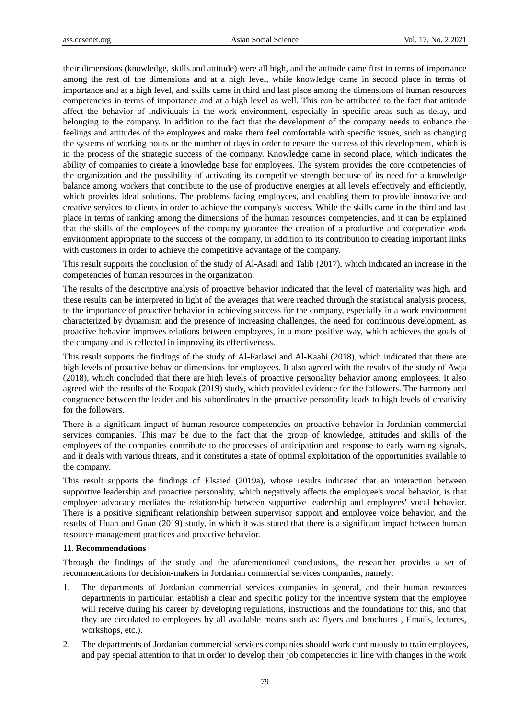their dimensions (knowledge, skills and attitude) were all high, and the attitude came first in terms of importance among the rest of the dimensions and at a high level, while knowledge came in second place in terms of importance and at a high level, and skills came in third and last place among the dimensions of human resources competencies in terms of importance and at a high level as well. This can be attributed to the fact that attitude affect the behavior of individuals in the work environment, especially in specific areas such as delay, and belonging to the company. In addition to the fact that the development of the company needs to enhance the feelings and attitudes of the employees and make them feel comfortable with specific issues, such as changing the systems of working hours or the number of days in order to ensure the success of this development, which is in the process of the strategic success of the company. Knowledge came in second place, which indicates the ability of companies to create a knowledge base for employees. The system provides the core competencies of the organization and the possibility of activating its competitive strength because of its need for a knowledge balance among workers that contribute to the use of productive energies at all levels effectively and efficiently, which provides ideal solutions. The problems facing employees, and enabling them to provide innovative and creative services to clients in order to achieve the company's success. While the skills came in the third and last place in terms of ranking among the dimensions of the human resources competencies, and it can be explained that the skills of the employees of the company guarantee the creation of a productive and cooperative work environment appropriate to the success of the company, in addition to its contribution to creating important links with customers in order to achieve the competitive advantage of the company.

This result supports the conclusion of the study of Al-Asadi and Talib (2017), which indicated an increase in the competencies of human resources in the organization.

The results of the descriptive analysis of proactive behavior indicated that the level of materiality was high, and these results can be interpreted in light of the averages that were reached through the statistical analysis process, to the importance of proactive behavior in achieving success for the company, especially in a work environment characterized by dynamism and the presence of increasing challenges, the need for continuous development, as proactive behavior improves relations between employees, in a more positive way, which achieves the goals of the company and is reflected in improving its effectiveness.

This result supports the findings of the study of Al-Fatlawi and Al-Kaabi (2018), which indicated that there are high levels of proactive behavior dimensions for employees. It also agreed with the results of the study of Awja (2018), which concluded that there are high levels of proactive personality behavior among employees. It also agreed with the results of the Roopak (2019) study, which provided evidence for the followers. The harmony and congruence between the leader and his subordinates in the proactive personality leads to high levels of creativity for the followers.

There is a significant impact of human resource competencies on proactive behavior in Jordanian commercial services companies. This may be due to the fact that the group of knowledge, attitudes and skills of the employees of the companies contribute to the processes of anticipation and response to early warning signals, and it deals with various threats, and it constitutes a state of optimal exploitation of the opportunities available to the company.

This result supports the findings of Elsaied (2019a), whose results indicated that an interaction between supportive leadership and proactive personality, which negatively affects the employee's vocal behavior, is that employee advocacy mediates the relationship between supportive leadership and employees' vocal behavior. There is a positive significant relationship between supervisor support and employee voice behavior, and the results of Huan and Guan (2019) study, in which it was stated that there is a significant impact between human resource management practices and proactive behavior.

## **11. Recommendations**

Through the findings of the study and the aforementioned conclusions, the researcher provides a set of recommendations for decision-makers in Jordanian commercial services companies, namely:

- 1. The departments of Jordanian commercial services companies in general, and their human resources departments in particular, establish a clear and specific policy for the incentive system that the employee will receive during his career by developing regulations, instructions and the foundations for this, and that they are circulated to employees by all available means such as: flyers and brochures , Emails, lectures, workshops, etc.).
- 2. The departments of Jordanian commercial services companies should work continuously to train employees, and pay special attention to that in order to develop their job competencies in line with changes in the work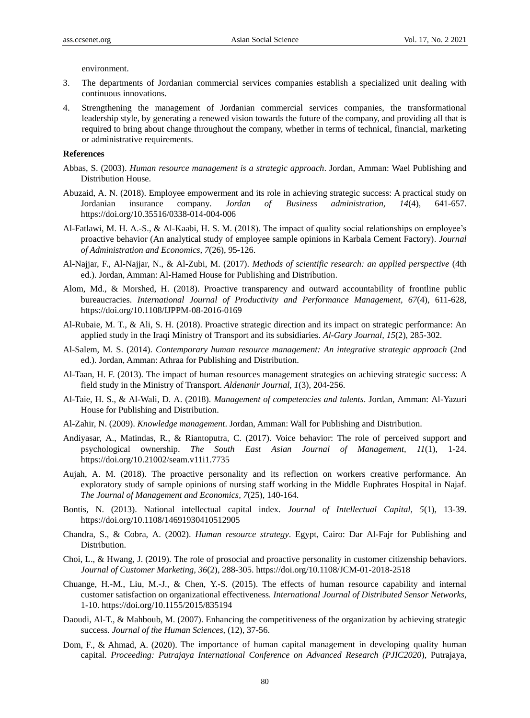environment.

- 3. The departments of Jordanian commercial services companies establish a specialized unit dealing with continuous innovations.
- 4. Strengthening the management of Jordanian commercial services companies, the transformational leadership style, by generating a renewed vision towards the future of the company, and providing all that is required to bring about change throughout the company, whether in terms of technical, financial, marketing or administrative requirements.

## **References**

- Abbas, S. (2003). *Human resource management is a strategic approach*. Jordan, Amman: Wael Publishing and Distribution House.
- Abuzaid, A. N. (2018). Employee empowerment and its role in achieving strategic success: A practical study on Jordanian insurance company*. Jordan of Business administration, 14*(4), 641-657. https://doi.org/10.35516/0338-014-004-006
- Al-Fatlawi, M. H. A.-S., & Al-Kaabi, H. S. M. (2018). The impact of quality social relationships on employee's proactive behavior (An analytical study of employee sample opinions in Karbala Cement Factory). *Journal of Administration and Economics, 7*(26), 95-126.
- Al-Najjar, F., Al-Najjar, N., & Al-Zubi, M. (2017). *Methods of scientific research: an applied perspective* (4th ed.). Jordan, Amman: Al-Hamed House for Publishing and Distribution.
- Alom, Md., & Morshed, H. (2018). Proactive transparency and outward accountability of frontline public bureaucracies. *International Journal of Productivity and Performance Management, 67*(4), 611-628, https://doi.org/10.1108/IJPPM-08-2016-0169
- Al-Rubaie, M. T., & Ali, S. H. (2018). Proactive strategic direction and its impact on strategic performance: An applied study in the Iraqi Ministry of Transport and its subsidiaries. *Al-Gary Journal, 15*(2), 285-302.
- Al-Salem, M. S. (2014). *Contemporary human resource management: An integrative strategic approach* (2nd ed.). Jordan, Amman: Athraa for Publishing and Distribution.
- Al-Taan, H. F. (2013). The impact of human resources management strategies on achieving strategic success: A field study in the Ministry of Transport. *Aldenanir Journal, 1*(3), 204-256.
- Al-Taie, H. S., & Al-Wali, D. A. (2018). *Management of competencies and talents*. Jordan, Amman: Al-Yazuri House for Publishing and Distribution.
- Al-Zahir, N. (2009). *Knowledge management*. Jordan, Amman: Wall for Publishing and Distribution.
- Andiyasar, A., Matindas, R., & Riantoputra, C. (2017). Voice behavior: The role of perceived support and psychological ownership. *The South East Asian Journal of Management, 11*(1), 1-24. https://doi.org/10.21002/seam.v11i1.7735
- Aujah, A. M. (2018). The proactive personality and its reflection on workers creative performance. An exploratory study of sample opinions of nursing staff working in the Middle Euphrates Hospital in Najaf. *The Journal of Management and Economics, 7*(25), 140-164.
- Bontis, N. (2013). National intellectual capital index. *Journal of Intellectual Capital, 5*(1), 13-39. https://doi.org/10.1108/14691930410512905
- Chandra, S., & Cobra, A. (2002). *Human resource strategy*. Egypt, Cairo: Dar Al-Fajr for Publishing and Distribution.
- Choi, L., & Hwang, J. (2019). The role of prosocial and proactive personality in customer citizenship behaviors. *Journal of Customer Marketing, 36*(2), 288-305. https://doi.org/10.1108/JCM-01-2018-2518
- Chuange, H.-M., Liu, M.-J., & Chen, Y.-S. (2015). The effects of human resource capability and internal customer satisfaction on organizational effectiveness*. International Journal of Distributed Sensor Networks*, 1-10. https://doi.org/10.1155/2015/835194
- Daoudi, Al-T., & Mahboub, M. (2007). Enhancing the competitiveness of the organization by achieving strategic success. *Journal of the Human Sciences,* (12), 37-56.
- Dom, F., & Ahmad, A. (2020). The importance of human capital management in developing quality human capital. *Proceeding: Putrajaya International Conference on Advanced Research (PJIC2020*), Putrajaya,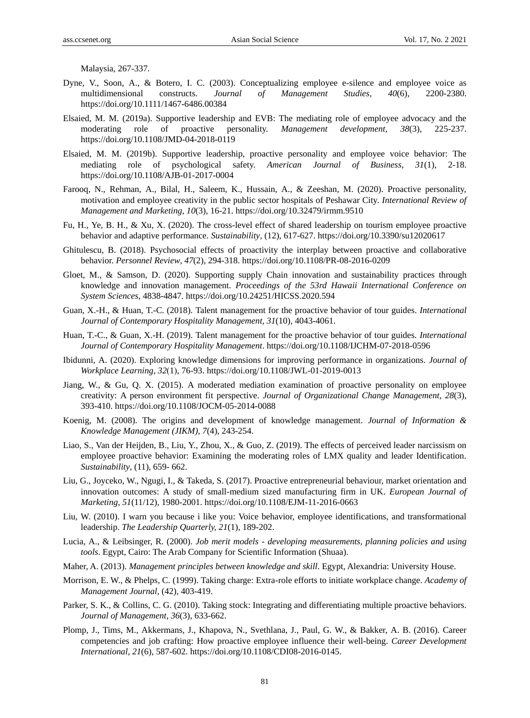Malaysia, 267-337.

- Dyne, V., Soon, A., & Botero, I. C. (2003). Conceptualizing employee e-silence and employee voice as multidimensional constructs. *Journal of Management Studies, 40*(6), 2200-2380. https://doi.org/10.1111/1467-6486.00384
- Elsaied, M. M. (2019a). Supportive leadership and EVB: The mediating role of employee advocacy and the moderating role of proactive personality. *Management development, 38*(3), 225-237. https://doi.org/10.1108/JMD-04-2018-0119
- Elsaied, M. M. (2019b). Supportive leadership, proactive personality and employee voice behavior: The mediating role of psychological safety. *American Journal of Business, 31*(1), 2-18. https://doi.org/10.1108/AJB-01-2017-0004
- Farooq, N., Rehman, A., Bilal, H., Saleem, K., Hussain, A., & Zeeshan, M. (2020). Proactive personality, motivation and employee creativity in the public sector hospitals of Peshawar City. *International Review of Management and Marketing, 10*(3), 16-21. https://doi.org/10.32479/irmm.9510
- Fu, H., Ye, B. H., & Xu, X. (2020). The cross-level effect of shared leadership on tourism employee proactive behavior and adaptive performance. *Sustainability*, (12), 617-627. https://doi.org/10.3390/su12020617
- Ghitulescu, B. (2018). Psychosocial effects of proactivity the interplay between proactive and collaborative behavior. *Personnel Review, 47*(2), 294-318. https://doi.org/10.1108/PR-08-2016-0209
- Gloet, M., & Samson, D. (2020). Supporting supply Chain innovation and sustainability practices through knowledge and innovation management. *Proceedings of the 53rd Hawaii International Conference on System Sciences*, 4838-4847. https://doi.org/10.24251/HICSS.2020.594
- Guan, X.-H., & Huan, T.-C. (2018). Talent management for the proactive behavior of tour guides. *International Journal of Contemporary Hospitality Management, 31*(10), 4043-4061.
- Huan, T.-C., & Guan, X.-H. (2019). Talent management for the proactive behavior of tour guides*. International Journal of Contemporary Hospitality Management*. https://doi.org/10.1108/IJCHM-07-2018-0596
- [Ibidunni, A.](https://www.emerald.com/insight/search?q=Ayodotun%20Stephen%20Ibidunni) (2020). Exploring knowledge dimensions for improving performance in organizations. *[Journal of](https://www.emerald.com/insight/publication/issn/1366-5626)  [Workplace Learning,](https://www.emerald.com/insight/publication/issn/1366-5626) 32*)1(, 76-93. <https://doi.org/10.1108/JWL-01-2019-0013>
- Jiang, W., & Gu, Q. X. (2015). A moderated mediation examination of proactive personality on employee creativity: A person environment fit perspective. *Journal of Organizational Change Management, 28*(3), 393-410. https://doi.org/10.1108/JOCM-05-2014-0088
- Koenig, M. (2008). The origins and development of knowledge management. *Journal of Information & Knowledge Management (JIKM), 7*(4), 243-254.
- Liao, S., Van der Heijden, B., Liu, Y., Zhou, X., & Guo, Z. (2019). The effects of perceived leader narcissism on employee proactive behavior: Examining the moderating roles of LMX quality and leader Identification. *Sustainability*, (11), 659- 662.
- Liu, G., Joyceko, W., Ngugi, I., & Takeda, S. (2017). Proactive entrepreneurial behaviour, market orientation and innovation outcomes: A study of small-medium sized manufacturing firm in UK. *European Journal of Marketing, 51*(11/12), 1980-2001. https://doi.org/10.1108/EJM-11-2016-0663
- Liu, W. (2010). I warn you because i like you: Voice behavior, employee identifications, and transformational leadership. *[The Leadership Quarterly,](https://www.researchgate.net/journal/1048-9843_The_Leadership_Quarterly) 21*(1), 189-202.
- Lucia, A., & Leibsinger, R. (2000). *Job merit models - developing measurements, planning policies and using tools*. Egypt, Cairo: The Arab Company for Scientific Information (Shuaa).
- Maher, A. (2013). *Management principles between knowledge and skill*. Egypt, Alexandria: University House.
- Morrison, E. W., & Phelps, C. (1999). Taking charge: Extra-role efforts to initiate workplace change. *Academy of Management Journal,* (42), 403-419.
- Parker, S. K., & Collins, C. G. (2010). Taking stock: Integrating and differentiating multiple proactive behaviors. *Journal of Management, 36*(3), 633-662.
- Plomp, J., Tims, M., Akkermans, J., Khapova, N., Svethlana, J., Paul, G. W., & Bakker, A. B. (2016). Career competencies and job crafting: How proactive employee influence their well-being. *Career Development International, 21*(6), 587-602. https://doi.org/10.1108/CDI08-2016-0145.